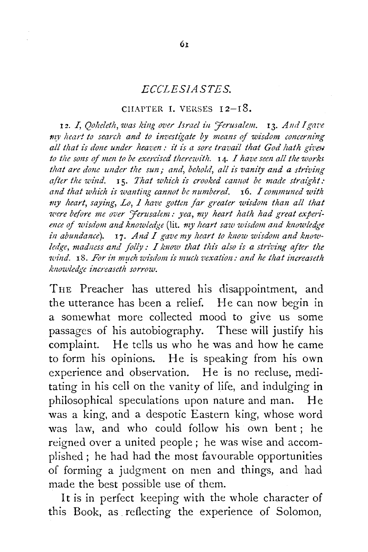## *ECCLESIASTES.*

## CHAPTER I. VERSES  $12-18$ .

12. I, *Qoheleth, was king over Israel in 'Ferusalem.* 13. And I gave *the heart to search and to investigate by means of wisdom concerning* all that is done under heaven: it is a sore travail that God hath given to the sons of men to be exercised therewith. **14.** *I have seen all the works* that are done under the sun; and, behold, all is vanity and a striving after the wind. **15.** That which is crooked cannot be made straight: and that which is wanting cannot be numbered. **16.** *I communed with* my heart, saying, Lo, 1 have gotten far greater wisdom than all that were before me over '*ferusalem*: yea, my heart hath had great experi*ence of wisdom and knowledge* (lit. my heart saw wisdom and knowledge in abundance). 17. And I gave my heart to know wisdom and knowledge, madness and folly: I know that this also is a striving after the *zuind.* 18. For in much wisdom is much vexation: and he that increaseth  *increaseth sorrow.* 

THE Preacher has uttered his disappointment, and the utterance has been a relief. He can now begin in a somewhat more collected mood to give us some passages of his autobiography. These will justify his complaint. He tells us who he was and how he came to form his opinions. He is speaking from his own experience and observation. He is no recluse, meditating in his cell on the vanity of life, and indulging in philosophical speculations upon nature and man. He was a king, and a despotic Eastern king, whose word was law, and who could follow his own bent ; he reigned over a united people ; he was wise and accomplished ; he had had the most favourable opportunities of forming a judgment on men and things, and had made the best possible use of them.

It is in perfect keeping with the whole character of this Book, as reflecting the experience of Solomon,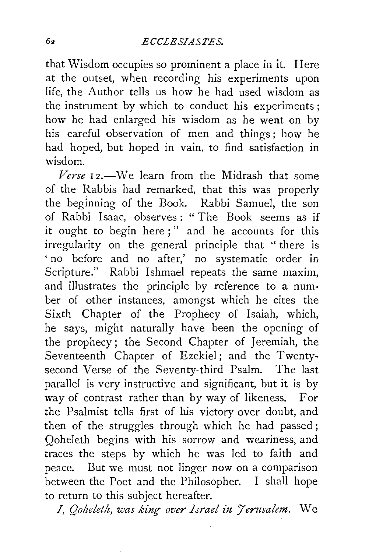that Wisdom occupies so prominent a place in it. Here at the outset, when recording his experiments upon life, the Author tells us how he had used wisdom as the instrument by which to conduct his experiments ; how he had enlarged his wisdom as he went on by his careful observation of men and things; how he had hoped, but hoped in vain, to find satisfaction in wisdom.

Verse 12.-We learn from the Midrash that some of the Rabbis had remarked, that this was properly the beginning of the Book. Rabbi Samuel, the son of Rabbi Isaac, observes: "The Book seems as if it ought to begin here;" and he accounts for this irregularity on the general principle that '' there is ' no before and no after,' no systematic order in Scripture." Rabbi Ishmael repeats the same maxim, and illustrates the principle by reference to a number of other instances, amongst which he cites the Sixth Chapter of the Prophecy of Isaiah, which, he says, might naturally have been the opening of the prophecy; the Second Chapter of Jeremiah, the Seventeenth Chapter of Ezekiel; and the Twentysecond Verse of the Seventy-third Psalm. The last parallel is very instructive and significant, but it is by way of contrast rather than by way of likeness. For the Psalmist tells first of his victory over doubt, and then of the struggles through which he had passed; Qoheleth begins with his sorrow and weariness, and traces the steps by which he was led to faith and peace. But we must not linger now on a comparison between the Poet and the Philosopher. I shall hope to return to this subject hereafter.

I, *Qolzeleth, was kinr: over Israel in 7 erusalem.* We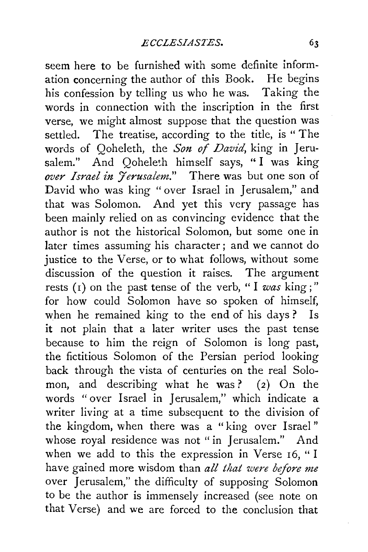seem here to be furnished with some definite information concerning the author of this Book. He begins his confession by telling us who he was. Taking the words in connection with the inscription in the first verse, we might almost suppose that the question was settled. The treatise, according to the title, is "The words of Qoheleth, the Son of David, king in Jerusalem." And Qoheleth himself says, "I was king *over Israel in Jerusalem.*" There was but one son of David who was king " over Israel in Jerusalem," and that was Solomon. And yet this very passage has been mainly relied on as convincing evidence that the author is not the historical Solomon, but some one in later times assuming his character ; and we cannot do justice to the Verse, or to what follows, without some discussion of the question it raises. The argument rests (1) on the past tense of the verb, "I *was* king :" for how could Solomon have so spoken of himself, when he remained king to the end of his days? Is it not plain that a later writer uses the past tense because to him the reign of Solomon is long past, the fictitious Solomon of the Persian period looking back through the vista of centuries on the real Solomon, and describing what he was? (2) On the words "over Israel in Jerusalem," which indicate a writer living at a time subsequent to the division of the kingdom, when there was a "king over Israel" whose royal residence was not "in Jerusalem." And when we add to this the expression in Verse 16, "I have gained more wisdom than *all that were before me*  over Jerusalem," the difficulty of supposing Solomon to be the author is immensely increased (see note on that Verse) and we are forced to the conclusion that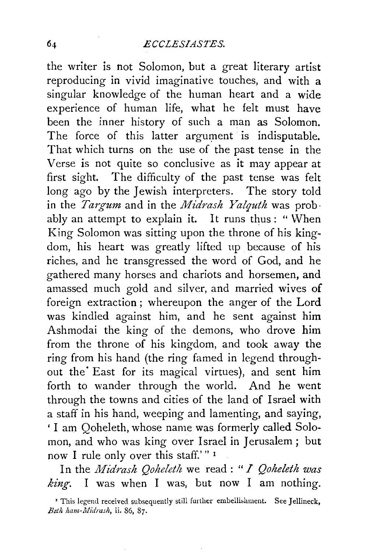the writer is not Solomon, but a great literary artist reproducing in vivid imaginative touches, and with a singular knowledge of the human heart and a wide experience of human life, what he felt must have been the inner history of such a man as Solomon. The force of this latter argument is indisputable. That which turns on the use of the past tense in the Verse is not quite so conclusive as it may appear at first sight. The difficulty of the past tense was felt long ago by the Jewish interpreters. The story told in the *Targum* and in the *Midrash Yalquth* was prob · ably an attempt to explain it. It runs thus: " When King Solomon was sitting upon the throne of his kingdom, his heart was greatly lifted up because of his riches, and he transgressed the word of God, and he gathered many horses and chariots and horsemen, and amassed much gold and silver, and married wives of foreign extraction; whereupon the anger of the Lord was kindled against him, and he sent against him Ashmodai the king of the demons, who drove him from the throne of his kingdom, and took away the ring from his hand (the ring famed in legend throughout the East for its magical virtues), and sent him forth to wander through the world. And he went through the towns and cities of the land of Israel with a staff in his hand, weeping and lamenting, and saying, ' I am Qoheleth, whose name was formerly called Solomon, and who was king over Israel in Jerusalem ; but now I rule only over this staff.'"<sup>1</sup>

In the *Midrash Qoheleth* we read: "*I Qoheleth was king.* I was when I was, but now I am nothing.

<sup>&</sup>lt;sup>I</sup> This legend received subsequently still further embellishment. See Jellineck, *Bet!t lwm-JIIidras!t,* ii. 86, 87.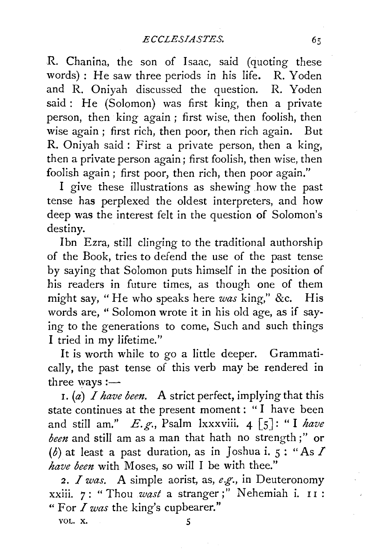R. Chanina, the son of Isaac, said (quoting these words) : He saw three periods in his life. R. Yoden and R. Oniyah discussed the question. R. Yoden said : He (Solomon) was first king, then a private person, then king again; first wise, then foolish, then wise again ; first rich, then poor, then rich again. But R. Oniyah said : First a private person, then a king, then a private person again; first foolish, then wise, then foolish again ; first poor, then rich, then poor again."

I give these illustrations as shewing how the past tense has perplexed the oldest interpreters, and how deep was the interest felt in the question of Solomon's destiny.

Ibn Ezra, still clinging to the traditional authorship of the Book, tries to defend the use of the past tense by saying that Solomon puts himself in the position of his readers in future times, as though one of them might say, "He who speaks here *was* king," &c. His words are, " Solomon wrote it in his old age, as if saying to the generations to come, Such and such things I tried in my lifetime."

It is worth while to go a little deeper. Grammatically, the past tense of this verb may be rendered in three ways: $\rightarrow$ 

I. (a) *I have been.* A strict perfect, implying that this state continues at the present moment : " I have been and still am."  $E.g.,$  Psalm lxxxviii.  $4 \lceil 5 \rceil$ : "I have *been* and still am as a man that hath no strength;" or (b) at least a past duration, as in *Joshua i.*  $5:$  "As  $\Gamma$ *have been* with Moses, so will I be with thee."

2. *I was.* A simple aorist, as, *e.g.,* in Deuteronomy xxiii. 7: " Thou *wast* a stranger;" Nehemiah i. II : "For *I was* the king's cupbearer."

VOL. X. *5*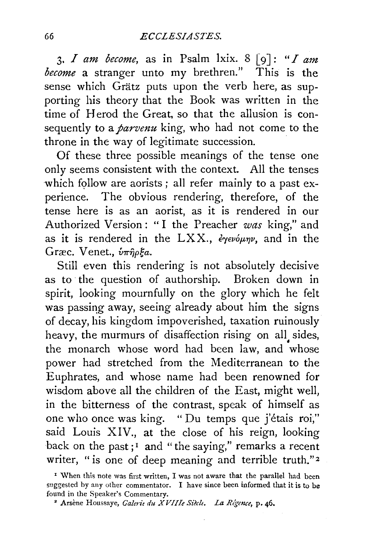3. *I am become*, as in Psalm lxix.  $8 \lceil 9 \rceil$ : "*I am become* a stranger unto my brethren." This is the sense which Grätz puts upon the verb here, as supporting his theory that the Book was written in the time of Herod the Great, so that the allusion is consequently to a *parvenu* king, who had not come to the throne in the way of legitimate succession.

Of these three possible meanings of the tense one only seems consistent with the context. All the tenses which follow are aorists; all refer mainly to a past experience. The obvious rendering, therefore, of the tense here is as an aorist, as it is rendered in our Authorized Version : " I the Preacher *was* king," and as it is rendered in the LXX., *εγενόμην*, and in the Græc. Venet.,  $\hat{v}\pi\hat{n}\rho\xi a$ .

Still even this rendering is not absolutely decisive as to the question of authorship. Broken down in spirit, looking mournfully on the glory which he felt was passing away, seeing already about him the signs of decay, his kingdom impoverished, taxation ruinously heavy, the murmurs of disaffection rising on all, sides, the monarch whose word had been law, and whose power had stretched from the Mediterranean to the Euphrates, and whose name had been renowned for wisdom above all the children of the East, might well, in the bitterness of the contrast, speak of himself as one who once was king. "Du temps que j'étais roi," said Louis XIV., at the close of his reign, looking back on the past;<sup>1</sup> and "the saying," remarks a recent writer, "is one of deep meaning and terrible truth."<sup>2</sup>

<sup>&</sup>lt;sup>1</sup> When this note was first written, I was not aware that the parallel had been suggested by any other commentator. I have since been informed that it is to be found in the Speaker's Commentary.

<sup>•</sup> Arsene Houssaye, *Ca!erit du XVIIIe Siec!t. La Rlgence,* p. 46.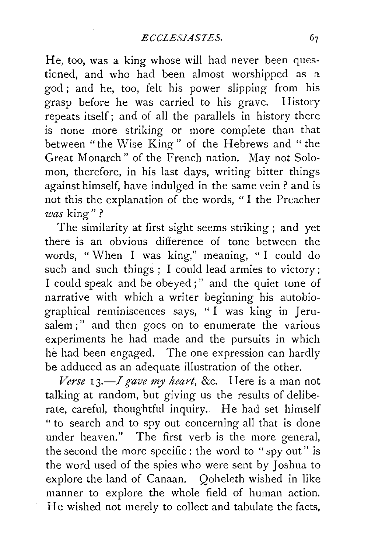He, too, was a king whose will had never been questioned, and who had been almost worshipped as a god; and he, too, felt his power slipping from his grasp before he was carried to his grave. History repeats itself; and of all the parallels in history there is none more striking or more complete than that between "the Wise King" of the Hebrews and "the Great Monarch" of the French nation. May not Solomon, therefore, in his last days, writing bitter things against himself, have indulged in the same vein ? and is not this the explanation of the words, " I the Preacher *was* king"?

The similarity at first sight seems striking ; and yet there is an obvious difference of tone between the words, " When I was king," meaning, " I could do such and such things ; I could lead armies to victory ; I could speak and be obeyed ; " and the quiet tone of narrative with which a writer beginning his autobiographical reminiscences says, " I was king in Jerusalem;" and then goes on to enumerate the various experiments he had made and the pursuits in which he had been engaged. The one expression can hardly be adduced as an adequate illustration of the other.

*Verse* 13.-I *gave my heart,* &c. Here is a man not talking at random, but giving us the results of deliberate, careful, thoughtful inquiry. He had set himself " to search and to spy out concerning all that is done under heaven." The first verb is the more general, the second the more specific : the word to "spy out" is the word used of the spies who were sent by Joshua to explore the land of Canaan. Qoheleth wished in like manner to explore the whole field of human action. He wished not merely to collect and tabulate the facts,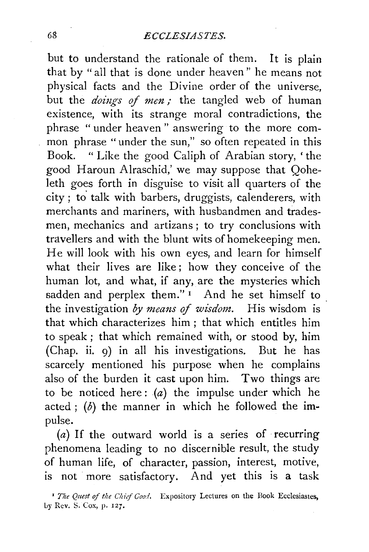but to understand the rationale of them. It is plain that by "all that is done under heaven" he means not physical facts and the Divine order of the universe, but the *doings of men*; the tangled web of human existence, with its strange moral contradictions, the phrase " under heaven " answering to the more common phrase "under the sun," so often repeated in this Book. " Like the good Caliph of Arabian story, ' the good Haroun Alraschid,' we may suppose that Qoheleth goes forth in disguise to visit all quarters of the city; to' talk with barbers, druggists, calenderers, with merchants and mariners, with husbandmen and tradesmen, mechanics and artizans ; to try conclusions with travellers and with the blunt wits of homekeeping men. He will look with his own eyes, and learn for himself what their lives are like; how they conceive of the human lot, and what, if any, are the mysteries which sadden and perplex them."<sup>1</sup> And he set himself to the investigation *by means* of *wisdom.* His wisdom is that which characterizes him ; that which entitles him to speak ; that which remained with, or stood by, him (Chap. ii. 9) in all his investigations. But he has scarcely mentioned his purpose when he complains also of the burden it cast upon him. Two things are to be noticed here:  $(a)$  the impulse under which he acted ;  $(b)$  the manner in which he followed the impulse.

(a) If the outward world is a series of recurring phenomena leading to no discernible result, the study of human life, of character, passion, interest, motive, is not more satisfactory. And yet this is a task

<sup>1</sup> The Quest of the Chief Good. Expository Lectures on the Book Ecclesiastes, Ly Rev. S. Cox, p. 127.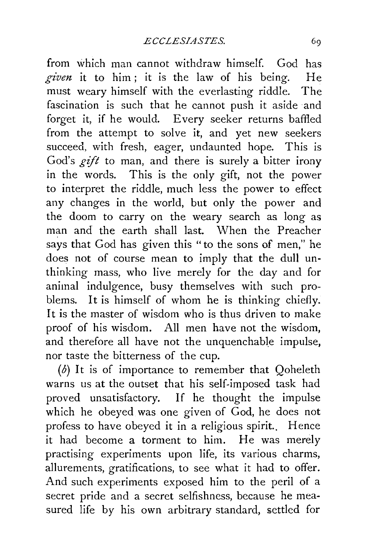from which man cannot withdraw himself. God has *given* it to him ; it is the law of his being. He must weary himself with the everlasting riddle. The fascination is such that he cannot push it aside and forget it, if he would. Every seeker returns baffled from the attempt to solve it, and yet new seekers succeed, with fresh, eager, undaunted hope. This is God's *gift* to man, and there is surely a bitter irony in the words. This is the only gift, not the power to interpret the riddle, much less the power to effect any changes in the world, but only the power and the doom to carry on the weary search as long as man and the earth shall last. When the Preacher says that God has given this "to the sons of men," he does not of course mean to imply that the dull unthinking mass, who live merely for the day and for animal indulgence, busy themselves with such problems. It is himself of whom he is thinking chiefly. It is the master of wisdom who is thus driven to make proof of his wisdom. All men have not the wisdom, and therefore all have not the unquenchable impulse, nor taste the bitterness of the cup.

(b) It is of importance to remember that Qoheleth warns us at the outset that his self-imposed task had proved unsatisfactory. If he thought the impulse which he obeyed was one given of God, he does not profess to have obeyed it in a religious spirit.. Hence it had become a torment to him. He was merely practising experiments upon life, its various charms, allurements, gratifications, to see what it had to offer. And such experiments exposed him to the peril of a secret pride and a secret selfishness, because he measured life by his own arbitrary standard, settled for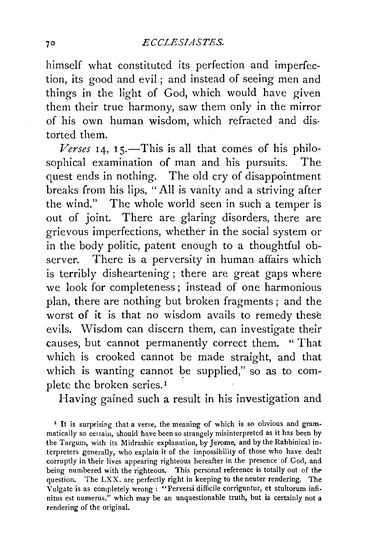himself what constituted its perfection and imperfection, its good and evil; and instead of seeing men and things in the light of God, which would have given them their true harmony, saw them only in the mirror of his own human wisdom, which refracted and distorted them.

*Verses* 14, 15.-This is all that comes of his philosophical examination of man and his pursuits. The quest ends in nothing. The old cry of disappointment breaks from his lips, "All is vanity and a striving after the wind." The whole world seen in such a temper is out of joint. There are glaring disorders, there are grievous imperfections, whether in the social system or in the body politic, patent enough to a thoughtful observer. There is a perversity in human affairs which is terribly disheartening; there are great gaps where we look for completeness ; instead of one harmonious plan, there are nothing but broken fragments ; and the worst of it is that no wisdom avails to remedy these evils. Wisdom can discern them, can investigate their causes, but cannot permanently correct them. " That which is crooked cannot be made straight, and that which is wanting cannot be supplied," so as to complete the broken series.<sup>1</sup>

Having gained such a result in his investigation and

<sup>1</sup> It is surprising that a verse, the meaning of which is so obvious and grammatically so certain, should have been so strangely misinterpreted as it has been by the Targum, with its Midrashic explanation, by Jerome, and by the Rabbinical interpreters generally, who explain it of the impossibility of those who have dealt corruptly in their lives appearing righteous hereafter in the presence of God, and being numbered with the righteous. This personal reference is totally out of the question. The LXX. are perfectly right in keeping to the neuter rendering. The Vulgate is as completely wrong ; "Perversi difficile corriguntur, et stultorum infinitus est numerus," which may be an unquestionable truth, but is certainly not a rendering of the original.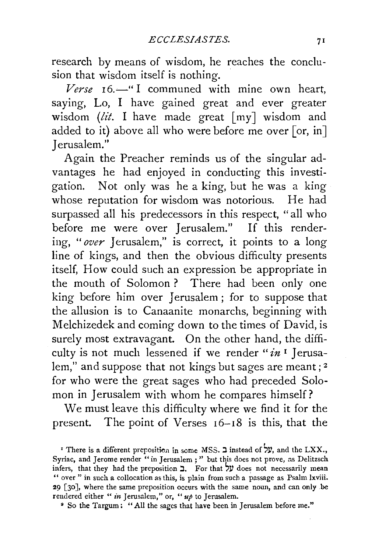research by means of wisdom, he reaches the conclusion that wisdom itself is nothing.

 *16.* $-$ *" I communed with mine own heart,* saying, Lo, I have gained great and ever greater wisdom *(lit.* I have made great  $[my]$  wisdom and added to it) above all who were before me over [or, in] Jerusalem."

Again the Preacher reminds us of the singular advantages he had enjoyed in conducting this investigation. Not only was he a king, but he was a king whose reputation for wisdom was notorious. He had surpassed all his predecessors in this respect, "all who before me were over Jerusalem." If this rendering, *"over* Jerusalem," is correct, it points to a long line of kings, and then the obvious difficulty presents itself, How could such an expression be appropriate in the mouth of Solomon ? There had been only one king before him over Jerusalem ; for to suppose that the allusion is to Canaanite monarchs, beginning with Melchizedek and coming down to the times of David, is surely most extravagant. On the other hand, the difficulty is not much lessened if we render "in<sup>1</sup> Jerusalem," and suppose that not kings but sages are meant;<sup>2</sup> for who were the great sages who had preceded Solomon in Jerusalem with whom he compares himself?

We must leave this difficulty where we find it for the present. The point of Verses 16-18 is this, that the

• So the Targum: "All the sages that have been in Jerusalem before me."

<sup>&#</sup>x27; There is a different preposition in some MSS. 2 instead of  $\forall y$ , and the LXX., Syriac, and Jerome render "in Jerusalem ; " but this does not prove, as Delitzsch infers, that they had the preposition  $\exists$ . For that  $\forall$  does not necessarily mean '' over " in such a collocation as this, is plain from such a passage as Psalm lxviii. 29 [30], where the same preposition occurs with the same noun, and can only .be rendered either "*in* Jerusalem," or, "*up* to Jerusalem.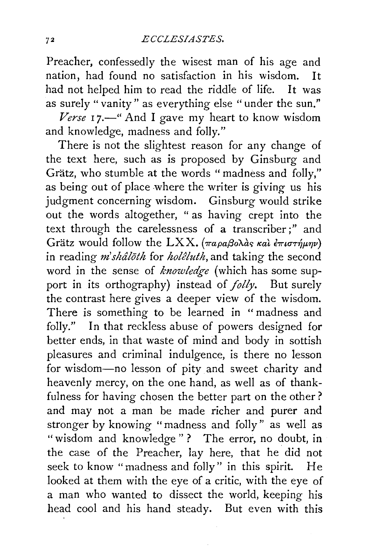Preacher, confessedly the wisest man of his age and nation, had found no satisfaction in his wisdom. It had not helped him to read the riddle of life. It was as surely "vanity" as everything else "under the sun."

Verse 17.<sup>-"</sup> And I gave my heart to know wisdom and knowledge, madness and folly."

There is not the slightest reason for any change of the text here, such as is proposed by Ginsburg and Grätz, who stumble at the words "madness and folly," as being out of place where the writer is giving us his judgment concerning wisdom. Ginsburg would strike out the words altogether, " as having crept into the text through the carelessness of a transcriber;" and Grätz would follow the LXX. (παραβολàς και επιστήμην) in reading *m'shâloth* for *holêluth*, and taking the second word in the sense of *knowledge* (which has some support in its orthography) instead of *folly.* But surely the contrast here gives a deeper view of the wisdom. There is something to be learned in "madness and folly." In that reckless abuse of powers designed for better ends, in that waste of mind and body in sottish pleasures and criminal indulgence, is there no lesson for wisdom-no lesson of pity and sweet charity and heavenly mercy, on the one hand, as well as of thankfulness for having chosen the better part on the other? and may not a man be made richer and purer and stronger by knowing "madness and folly" as well as "wisdom and knowledge"? The error, no doubt, in the case of the Preacher, lay here, that he did not seek to know "madness and folly" in this spirit. He looked at them with the eye of a critic, with the eye of a man who wanted to dissect the world, keeping his head cool and his hand steady. But even with this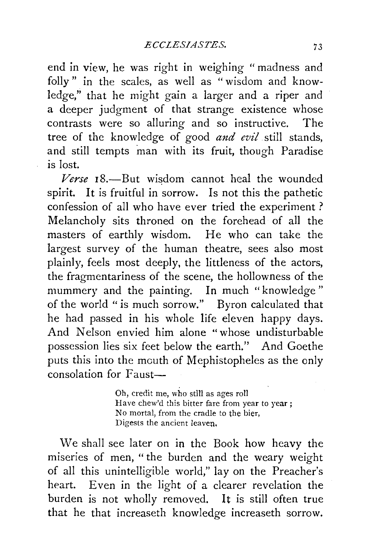end in view, he was right in weighing " madness and folly" in the scales, as well as "wisdom and knowledge," that he might gain a larger and a riper and a deeper judgment of that strange existence whose contrasts were so alluring and so instructive. The tree of the knowledge of good *and evil* still stands, and still tempts man with its fruit, though Paradise is lost.

*Verse* 18.-But wisdom cannot heal the wounded spirit. It is fruitful in sorrow. Is not this the pathetic confession of all who have ever tried the experiment ? Melancholy sits throned on the forehead of all the masters of earthly wisdom. He who can take the largest survey of the human theatre, sees also most plainly, feels most deeply, the littleness of the actors, the fragmentariness of the scene, the hollowness of the mummery and the painting. In much "knowledge" of the world "is much sorrow." Byron calculated that he had passed in his whole life eleven happy days. And Nelson envied him alone "whose undisturbable possession lies six feet below the earth." And Goethe puts this into the mouth of Mephistopheles as the only consolation for Faust-

> Oh, credit me, who still as ages roll Have chew'd this bitter fare from year to year; No mortal, from the cradle to the bier, Digests the ancient leaven,

We shall see later on in the Book how heavy the miseries of men, "the burden and the weary weight of all this unintelligible world," lay on the Preacher's heart. Even in the light of a clearer revelation the burden is not wholly removed. It is still often true that he that increaseth knowledge increaseth sorrow.